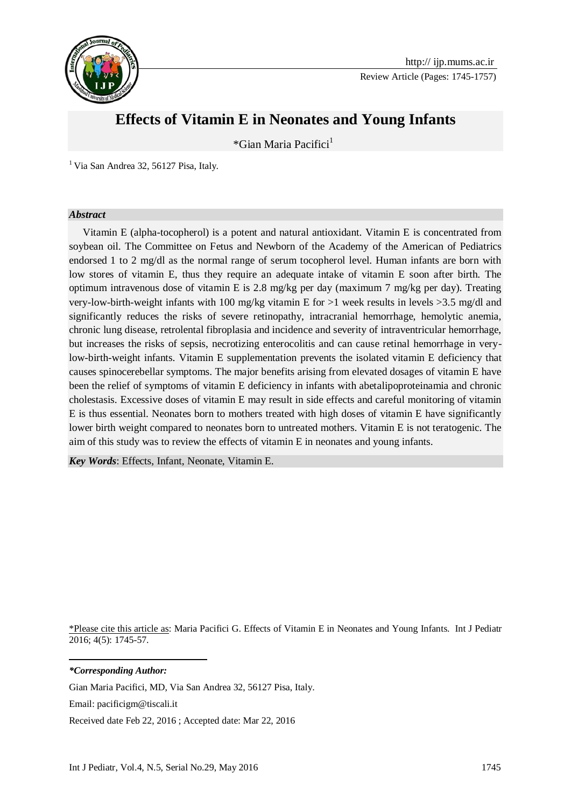

Review Article (Pages: 1745-1757)

# **Effects of Vitamin E in Neonates and Young Infants**

\*Gian Maria Pacifici<sup>1</sup>

 $<sup>1</sup>$  Via San Andrea 32, 56127 Pisa, Italy.</sup>

#### *Abstract*

Vitamin E (alpha-tocopherol) is a potent and natural antioxidant. Vitamin E is concentrated from soybean oil. The Committee on Fetus and Newborn of the Academy of the American of Pediatrics endorsed 1 to 2 mg/dl as the normal range of serum tocopherol level. Human infants are born with low stores of vitamin E, thus they require an adequate intake of vitamin E soon after birth. The optimum intravenous dose of vitamin E is 2.8 mg/kg per day (maximum 7 mg/kg per day). Treating very-low-birth-weight infants with 100 mg/kg vitamin E for >1 week results in levels >3.5 mg/dl and significantly reduces the risks of severe retinopathy, intracranial hemorrhage, hemolytic anemia, chronic lung disease, retrolental fibroplasia and incidence and severity of intraventricular hemorrhage, but increases the risks of sepsis, necrotizing enterocolitis and can cause retinal hemorrhage in verylow-birth-weight infants. Vitamin E supplementation prevents the isolated vitamin E deficiency that causes spinocerebellar symptoms. The major benefits arising from elevated dosages of vitamin E have been the relief of symptoms of vitamin E deficiency in infants with abetalipoproteinamia and chronic cholestasis. Excessive doses of vitamin E may result in side effects and careful monitoring of vitamin E is thus essential. Neonates born to mothers treated with high doses of vitamin E have significantly lower birth weight compared to neonates born to untreated mothers. Vitamin E is not teratogenic. The aim of this study was to review the effects of vitamin E in neonates and young infants.

*Key Words*: Effects, Infant, Neonate, Vitamin E.

\*Please cite this article as: Maria Pacifici G. Effects of Vitamin E in Neonates and Young Infants. Int J Pediatr 2016; 4(5): 1745-57.

*\*Corresponding Author:*

**.** 

Gian Maria Pacifici, MD, Via San Andrea 32, 56127 Pisa, Italy.

Email: pacificigm@tiscali.it

Received date Feb 22, 2016 ; Accepted date: Mar 22, 2016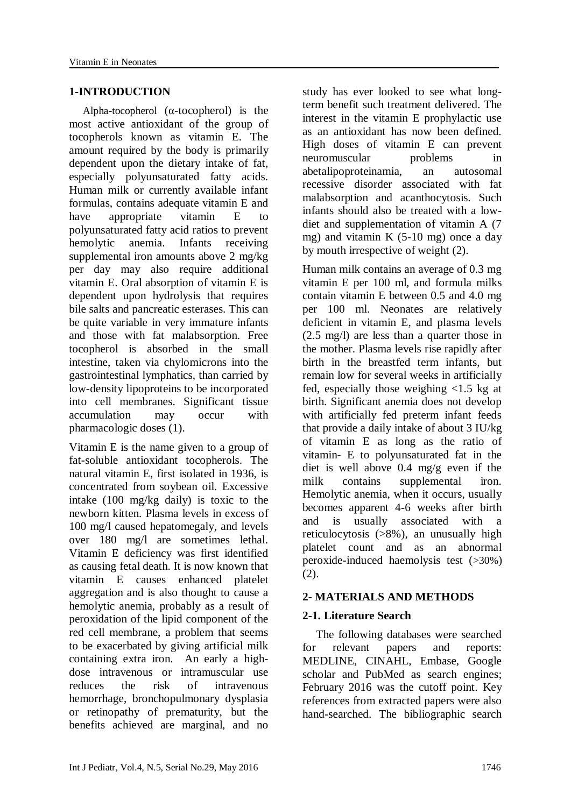#### **1-INTRODUCTION**

Alpha-tocopherol  $(\alpha$ -tocopherol) is the most active antioxidant of the group of tocopherols known as vitamin E. The amount required by the body is primarily dependent upon the dietary intake of fat, especially polyunsaturated fatty acids. Human milk or currently available infant formulas, contains adequate vitamin E and have appropriate vitamin E to polyunsaturated fatty acid ratios to prevent hemolytic anemia. Infants receiving supplemental iron amounts above 2 mg/kg per day may also require additional vitamin E. Oral absorption of vitamin E is dependent upon hydrolysis that requires bile salts and pancreatic esterases. This can be quite variable in very immature infants and those with fat malabsorption. Free tocopherol is absorbed in the small intestine, taken via chylomicrons into the gastrointestinal lymphatics, than carried by low-density lipoproteins to be incorporated into cell membranes. Significant tissue accumulation may occur with pharmacologic doses (1).

Vitamin E is the name given to a group of fat-soluble antioxidant tocopherols. The natural vitamin E, first isolated in 1936, is concentrated from soybean oil. Excessive intake (100 mg/kg daily) is toxic to the newborn kitten. Plasma levels in excess of 100 mg/l caused hepatomegaly, and levels over 180 mg/l are sometimes lethal. Vitamin E deficiency was first identified as causing fetal death. It is now known that vitamin E causes enhanced platelet aggregation and is also thought to cause a hemolytic anemia, probably as a result of peroxidation of the lipid component of the red cell membrane, a problem that seems to be exacerbated by giving artificial milk containing extra iron. An early a highdose intravenous or intramuscular use reduces the risk of intravenous hemorrhage, bronchopulmonary dysplasia or retinopathy of prematurity, but the benefits achieved are marginal, and no study has ever looked to see what longterm benefit such treatment delivered. The interest in the vitamin E prophylactic use as an antioxidant has now been defined. High doses of vitamin E can prevent neuromuscular problems in abetalipoproteinamia, an autosomal recessive disorder associated with fat malabsorption and acanthocytosis. Such infants should also be treated with a lowdiet and supplementation of vitamin A (7 mg) and vitamin K  $(5-10 \text{ mg})$  once a day by mouth irrespective of weight (2).

Human milk contains an average of 0.3 mg vitamin E per 100 ml, and formula milks contain vitamin E between 0.5 and 4.0 mg per 100 ml. Neonates are relatively deficient in vitamin E, and plasma levels (2.5 mg/l) are less than a quarter those in the mother. Plasma levels rise rapidly after birth in the breastfed term infants, but remain low for several weeks in artificially fed, especially those weighing <1.5 kg at birth. Significant anemia does not develop with artificially fed preterm infant feeds that provide a daily intake of about 3 IU/kg of vitamin E as long as the ratio of vitamin- E to polyunsaturated fat in the diet is well above 0.4 mg/g even if the milk contains supplemental iron. Hemolytic anemia, when it occurs, usually becomes apparent 4-6 weeks after birth and is usually associated with a reticulocytosis (>8%), an unusually high platelet count and as an abnormal peroxide-induced haemolysis test (>30%) (2).

# **2- MATERIALS AND METHODS**

# **2-1. Literature Search**

The following databases were searched for relevant papers and reports: MEDLINE, CINAHL, Embase, Google scholar and PubMed as search engines; February 2016 was the cutoff point. Key references from extracted papers were also hand-searched. The bibliographic search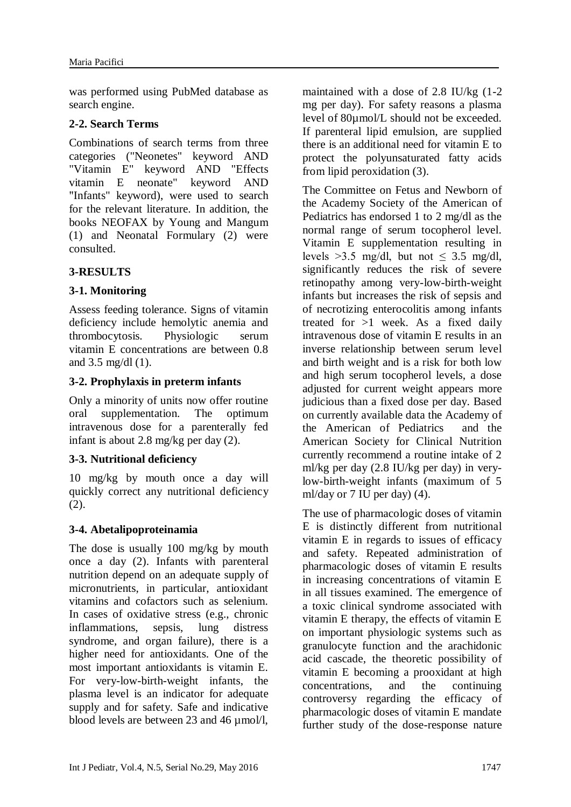was performed using PubMed database as search engine.

# **2-2. Search Terms**

Combinations of search terms from three categories ("Neonetes" keyword AND "Vitamin E" keyword AND "Effects vitamin E neonate" keyword AND "Infants" keyword), were used to search for the relevant literature. In addition, the books NEOFAX by Young and Mangum (1) and Neonatal Formulary (2) were consulted.

# **3-RESULTS**

# **3-1. Monitoring**

Assess feeding tolerance. Signs of vitamin deficiency include hemolytic anemia and thrombocytosis. Physiologic serum vitamin E concentrations are between 0.8 and 3.5 mg/dl (1).

# **3-2. Prophylaxis in preterm infants**

Only a minority of units now offer routine oral supplementation. The optimum intravenous dose for a parenterally fed infant is about 2.8 mg/kg per day (2).

# **3-3. Nutritional deficiency**

10 mg/kg by mouth once a day will quickly correct any nutritional deficiency (2).

# **3-4. Abetalipoproteinamia**

The dose is usually 100 mg/kg by mouth once a day (2). Infants with parenteral nutrition depend on an adequate supply of micronutrients, in particular, antioxidant vitamins and cofactors such as selenium. In cases of oxidative stress (e.g., chronic inflammations, sepsis, lung distress syndrome, and organ failure), there is a higher need for antioxidants. One of the most important antioxidants is vitamin E. For very-low-birth-weight infants, the plasma level is an indicator for adequate supply and for safety. Safe and indicative blood levels are between 23 and 46  $\mu$ mol/l,

maintained with a dose of 2.8 IU/kg (1-2 mg per day). For safety reasons a plasma level of 80µmol/L should not be exceeded. If parenteral lipid emulsion, are supplied there is an additional need for vitamin E to protect the polyunsaturated fatty acids from lipid peroxidation (3).

The Committee on Fetus and Newborn of the Academy Society of the American of Pediatrics has endorsed 1 to 2 mg/dl as the normal range of serum tocopherol level. Vitamin E supplementation resulting in levels >3.5 mg/dl, but not  $\leq$  3.5 mg/dl, significantly reduces the risk of severe retinopathy among very-low-birth-weight infants but increases the risk of sepsis and of necrotizing enterocolitis among infants treated for  $>1$  week. As a fixed daily intravenous dose of vitamin E results in an inverse relationship between serum level and birth weight and is a risk for both low and high serum tocopherol levels, a dose adjusted for current weight appears more judicious than a fixed dose per day. Based on currently available data the Academy of the American of Pediatrics and the American Society for Clinical Nutrition currently recommend a routine intake of 2 ml/kg per day (2.8 IU/kg per day) in verylow-birth-weight infants (maximum of 5 ml/day or 7 IU per day) (4).

The use of pharmacologic doses of vitamin E is distinctly different from nutritional vitamin E in regards to issues of efficacy and safety. Repeated administration of pharmacologic doses of vitamin E results in increasing concentrations of vitamin E in all tissues examined. The emergence of a toxic clinical syndrome associated with vitamin E therapy, the effects of vitamin E on important physiologic systems such as granulocyte function and the arachidonic acid cascade, the theoretic possibility of vitamin E becoming a prooxidant at high concentrations, and the continuing controversy regarding the efficacy of pharmacologic doses of vitamin E mandate further study of the dose-response nature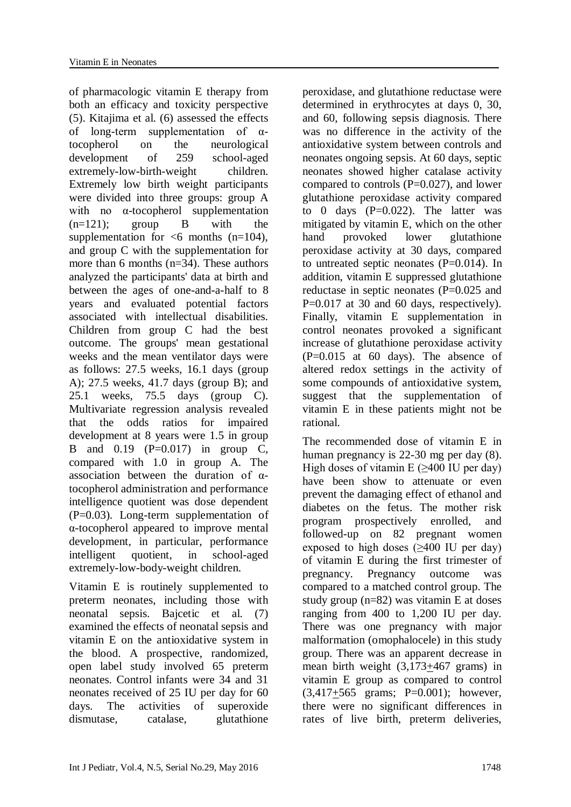of pharmacologic vitamin E therapy from both an efficacy and toxicity perspective (5). Kitajima et al. (6) assessed the effects of long-term supplementation of  $\alpha$ tocopherol on the neurological development of 259 school-aged extremely-low-birth-weight children. Extremely low birth weight participants were divided into three groups: group A with no α-tocopherol supplementation  $(n=121)$ ; group B with the supplementation for  $\leq 6$  months (n=104), and group C with the supplementation for more than 6 months (n=34). These authors analyzed the participants' data at birth and between the ages of one-and-a-half to 8 years and evaluated potential factors associated with intellectual disabilities. Children from group C had the best outcome. The groups' mean gestational weeks and the mean ventilator days were as follows: 27.5 weeks, 16.1 days (group A); 27.5 weeks, 41.7 days (group B); and 25.1 weeks, 75.5 days (group C). Multivariate regression analysis revealed that the odds ratios for impaired development at 8 years were 1.5 in group B and 0.19 (P=0.017) in group C, compared with 1.0 in group A. The association between the duration of αtocopherol administration and performance intelligence quotient was dose dependent (P=0.03). Long-term supplementation of α-tocopherol appeared to improve mental development, in particular, performance intelligent quotient, in school-aged extremely-low-body-weight children.

Vitamin E is routinely supplemented to preterm neonates, including those with neonatal sepsis. Bajcetic et al. (7) examined the effects of neonatal sepsis and vitamin E on the antioxidative system in the blood. A prospective, randomized, open label study involved 65 preterm neonates. Control infants were 34 and 31 neonates received of 25 IU per day for 60 days. The activities of superoxide dismutase, catalase, glutathione

peroxidase, and glutathione reductase were determined in erythrocytes at days 0, 30, and 60, following sepsis diagnosis. There was no difference in the activity of the antioxidative system between controls and neonates ongoing sepsis. At 60 days, septic neonates showed higher catalase activity compared to controls  $(P=0.027)$ , and lower glutathione peroxidase activity compared to 0 days  $(P=0.022)$ . The latter was mitigated by vitamin E, which on the other hand provoked lower glutathione peroxidase activity at 30 days, compared to untreated septic neonates (P=0.014). In addition, vitamin E suppressed glutathione reductase in septic neonates (P=0.025 and P=0.017 at 30 and 60 days, respectively). Finally, vitamin E supplementation in control neonates provoked a significant increase of glutathione peroxidase activity  $(P=0.015$  at 60 days). The absence of altered redox settings in the activity of some compounds of antioxidative system, suggest that the supplementation of vitamin E in these patients might not be rational.

The recommended dose of vitamin E in human pregnancy is 22-30 mg per day (8). High doses of vitamin  $E$  (>400 IU per day) have been show to attenuate or even prevent the damaging effect of ethanol and diabetes on the fetus. The mother risk program prospectively enrolled, and followed-up on 82 pregnant women exposed to high doses (≥400 IU per day) of vitamin E during the first trimester of pregnancy. Pregnancy outcome was compared to a matched control group. The study group (n=82) was vitamin E at doses ranging from 400 to 1,200 IU per day. There was one pregnancy with major malformation (omophalocele) in this study group. There was an apparent decrease in mean birth weight (3,173+467 grams) in vitamin E group as compared to control (3,417+565 grams; P=0.001); however, there were no significant differences in rates of live birth, preterm deliveries,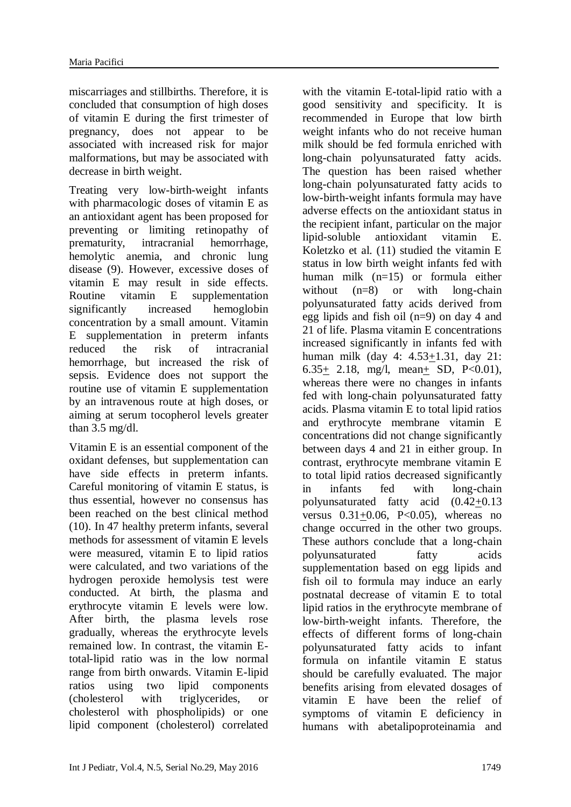miscarriages and stillbirths. Therefore, it is concluded that consumption of high doses of vitamin E during the first trimester of pregnancy, does not appear to be associated with increased risk for major malformations, but may be associated with decrease in birth weight.

Treating very low-birth-weight infants with pharmacologic doses of vitamin E as an antioxidant agent has been proposed for preventing or limiting retinopathy of prematurity, intracranial hemorrhage, hemolytic anemia, and chronic lung disease (9). However, excessive doses of vitamin E may result in side effects. Routine vitamin E supplementation significantly increased hemoglobin concentration by a small amount. Vitamin E supplementation in preterm infants reduced the risk of intracranial hemorrhage, but increased the risk of sepsis. Evidence does not support the routine use of vitamin E supplementation by an intravenous route at high doses, or aiming at serum tocopherol levels greater than 3.5 mg/dl.

Vitamin E is an essential component of the oxidant defenses, but supplementation can have side effects in preterm infants. Careful monitoring of vitamin E status, is thus essential, however no consensus has been reached on the best clinical method (10). In 47 healthy preterm infants, several methods for assessment of vitamin E levels were measured, vitamin E to lipid ratios were calculated, and two variations of the hydrogen peroxide hemolysis test were conducted. At birth, the plasma and erythrocyte vitamin E levels were low. After birth, the plasma levels rose gradually, whereas the erythrocyte levels remained low. In contrast, the vitamin Etotal-lipid ratio was in the low normal range from birth onwards. Vitamin E-lipid ratios using two lipid components (cholesterol with triglycerides, or cholesterol with phospholipids) or one lipid component (cholesterol) correlated

with the vitamin E-total-lipid ratio with a good sensitivity and specificity. It is recommended in Europe that low birth weight infants who do not receive human milk should be fed formula enriched with long-chain polyunsaturated fatty acids. The question has been raised whether long-chain polyunsaturated fatty acids to low-birth-weight infants formula may have adverse effects on the antioxidant status in the recipient infant, particular on the major lipid-soluble antioxidant vitamin E. Koletzko et al. (11) studied the vitamin E status in low birth weight infants fed with human milk (n=15) or formula either without (n=8) or with long-chain polyunsaturated fatty acids derived from egg lipids and fish oil (n=9) on day 4 and 21 of life. Plasma vitamin E concentrations increased significantly in infants fed with human milk (day 4: 4.53+1.31, day 21: 6.35+ 2.18, mg/l, mean+ SD, P<0.01), whereas there were no changes in infants fed with long-chain polyunsaturated fatty acids. Plasma vitamin E to total lipid ratios and erythrocyte membrane vitamin E concentrations did not change significantly between days 4 and 21 in either group. In contrast, erythrocyte membrane vitamin E to total lipid ratios decreased significantly in infants fed with long-chain polyunsaturated fatty acid (0.42+0.13 versus  $0.31+0.06$ , P<0.05), whereas no change occurred in the other two groups. These authors conclude that a long-chain polyunsaturated fatty acids supplementation based on egg lipids and fish oil to formula may induce an early postnatal decrease of vitamin E to total lipid ratios in the erythrocyte membrane of low-birth-weight infants. Therefore, the effects of different forms of long-chain polyunsaturated fatty acids to infant formula on infantile vitamin E status should be carefully evaluated. The major benefits arising from elevated dosages of vitamin E have been the relief of symptoms of vitamin E deficiency in humans with abetalipoproteinamia and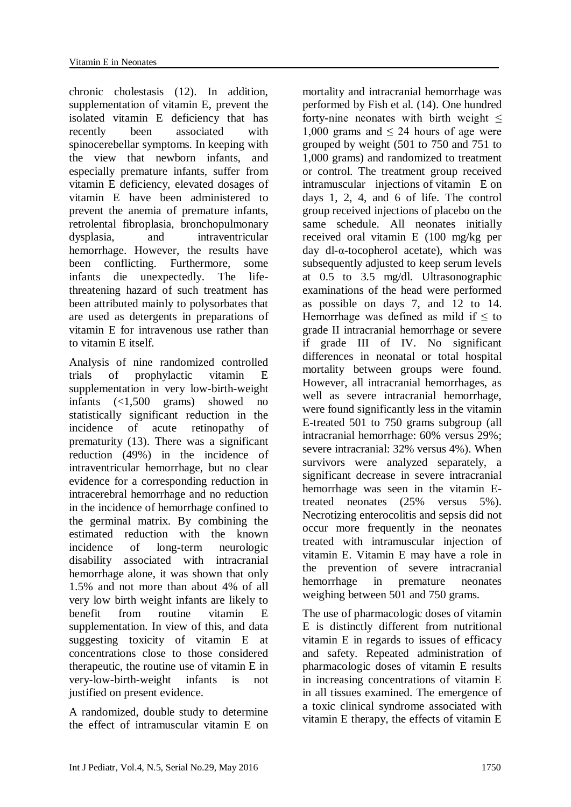chronic cholestasis (12). In addition, supplementation of vitamin E, prevent the isolated vitamin E deficiency that has recently been associated with spinocerebellar symptoms. In keeping with the view that newborn infants, and especially premature infants, suffer from vitamin E deficiency, elevated dosages of vitamin E have been administered to prevent the anemia of premature infants, retrolental fibroplasia, bronchopulmonary dysplasia, and intraventricular hemorrhage. However, the results have been conflicting. Furthermore, some infants die unexpectedly. The lifethreatening hazard of such treatment has been attributed mainly to polysorbates that are used as detergents in preparations of vitamin E for intravenous use rather than to vitamin E itself.

Analysis of nine randomized controlled trials of prophylactic vitamin E supplementation in very low-birth-weight infants (<1,500 grams) showed no statistically significant reduction in the incidence of acute retinopathy of prematurity (13). There was a significant reduction (49%) in the incidence of intraventricular hemorrhage, but no clear evidence for a corresponding reduction in intracerebral hemorrhage and no reduction in the incidence of hemorrhage confined to the germinal matrix. By combining the estimated reduction with the known incidence of long-term neurologic disability associated with intracranial hemorrhage alone, it was shown that only 1.5% and not more than about 4% of all very low birth weight infants are likely to benefit from routine vitamin E supplementation. In view of this, and data suggesting toxicity of vitamin E at concentrations close to those considered therapeutic, the routine use of vitamin E in very-low-birth-weight infants is not justified on present evidence.

A randomized, double study to determine the effect of intramuscular vitamin E on

mortality and intracranial hemorrhage was performed by Fish et al. (14). One hundred forty-nine neonates with birth weight  $\leq$ 1,000 grams and  $\leq$  24 hours of age were grouped by weight (501 to 750 and 751 to 1,000 grams) and randomized to treatment or control. The treatment group received intramuscular injections of vitamin E on days 1, 2, 4, and 6 of life. The control group received injections of placebo on the same schedule. All neonates initially received oral vitamin E (100 mg/kg per day dl-α-tocopherol acetate), which was subsequently adjusted to keep serum levels at 0.5 to 3.5 mg/dl. Ultrasonographic examinations of the head were performed as possible on days 7, and 12 to 14. Hemorrhage was defined as mild if  $\leq$  to grade II intracranial hemorrhage or severe if grade III of IV. No significant differences in neonatal or total hospital mortality between groups were found. However, all intracranial hemorrhages, as well as severe intracranial hemorrhage, were found significantly less in the vitamin E-treated 501 to 750 grams subgroup (all intracranial hemorrhage: 60% versus 29%; severe intracranial: 32% versus 4%). When survivors were analyzed separately, a significant decrease in severe intracranial hemorrhage was seen in the vitamin Etreated neonates (25% versus 5%). Necrotizing enterocolitis and sepsis did not occur more frequently in the neonates treated with intramuscular injection of vitamin E. Vitamin E may have a role in the prevention of severe intracranial hemorrhage in premature neonates weighing between 501 and 750 grams.

The use of pharmacologic doses of vitamin E is distinctly different from nutritional vitamin E in regards to issues of efficacy and safety. Repeated administration of pharmacologic doses of vitamin E results in increasing concentrations of vitamin E in all tissues examined. The emergence of a toxic clinical syndrome associated with vitamin E therapy, the effects of vitamin E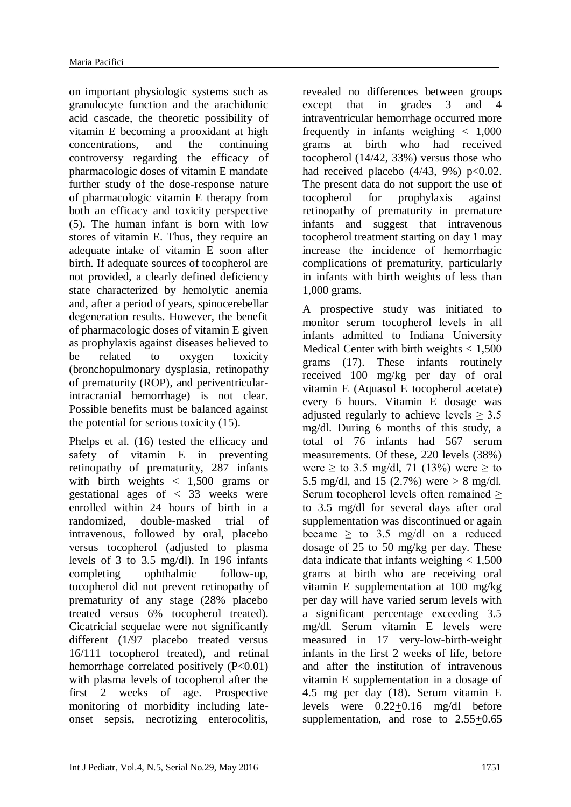on important physiologic systems such as granulocyte function and the arachidonic acid cascade, the theoretic possibility of vitamin E becoming a prooxidant at high concentrations, and the continuing controversy regarding the efficacy of pharmacologic doses of vitamin E mandate further study of the dose-response nature of pharmacologic vitamin E therapy from both an efficacy and toxicity perspective (5). The human infant is born with low stores of vitamin E. Thus, they require an adequate intake of vitamin E soon after birth. If adequate sources of tocopherol are not provided, a clearly defined deficiency state characterized by hemolytic anemia and, after a period of years, spinocerebellar degeneration results. However, the benefit of pharmacologic doses of vitamin E given as prophylaxis against diseases believed to be related to oxygen toxicity (bronchopulmonary dysplasia, retinopathy of prematurity (ROP), and periventricularintracranial hemorrhage) is not clear. Possible benefits must be balanced against the potential for serious toxicity (15).

Phelps et al. (16) tested the efficacy and safety of vitamin E in preventing retinopathy of prematurity, 287 infants with birth weights  $\langle 1,500 \rangle$  grams or gestational ages of < 33 weeks were enrolled within 24 hours of birth in a randomized, double-masked trial of intravenous, followed by oral, placebo versus tocopherol (adjusted to plasma levels of 3 to 3.5 mg/dl). In 196 infants completing ophthalmic follow-up, tocopherol did not prevent retinopathy of prematurity of any stage (28% placebo treated versus 6% tocopherol treated). Cicatricial sequelae were not significantly different (1/97 placebo treated versus 16/111 tocopherol treated), and retinal hemorrhage correlated positively  $(P<0.01)$ with plasma levels of tocopherol after the first 2 weeks of age. Prospective monitoring of morbidity including lateonset sepsis, necrotizing enterocolitis,

revealed no differences between groups except that in grades 3 and 4 intraventricular hemorrhage occurred more frequently in infants weighing < 1,000 grams at birth who had received tocopherol (14/42, 33%) versus those who had received placebo  $(4/43, 9\%)$  p<0.02. The present data do not support the use of tocopherol for prophylaxis against retinopathy of prematurity in premature infants and suggest that intravenous tocopherol treatment starting on day 1 may increase the incidence of hemorrhagic complications of prematurity, particularly in infants with birth weights of less than 1,000 grams.

A prospective study was initiated to monitor serum tocopherol levels in all infants admitted to Indiana University Medical Center with birth weights  $< 1,500$ grams (17). These infants routinely received 100 mg/kg per day of oral vitamin E (Aquasol E tocopherol acetate) every 6 hours. Vitamin E dosage was adjusted regularly to achieve levels  $> 3.5$ mg/dl. During 6 months of this study, a total of 76 infants had 567 serum measurements. Of these, 220 levels (38%) were  $\geq$  to 3.5 mg/dl, 71 (13%) were  $\geq$  to 5.5 mg/dl, and 15 (2.7%) were  $> 8$  mg/dl. Serum tocopherol levels often remained ≥ to 3.5 mg/dl for several days after oral supplementation was discontinued or again became  $\geq$  to 3.5 mg/dl on a reduced dosage of 25 to 50 mg/kg per day. These data indicate that infants weighing  $< 1,500$ grams at birth who are receiving oral vitamin E supplementation at 100 mg/kg per day will have varied serum levels with a significant percentage exceeding 3.5 mg/dl. Serum vitamin E levels were measured in 17 very-low-birth-weight infants in the first 2 weeks of life, before and after the institution of intravenous vitamin E supplementation in a dosage of 4.5 mg per day (18). Serum vitamin E levels were 0.22+0.16 mg/dl before supplementation, and rose to 2.55+0.65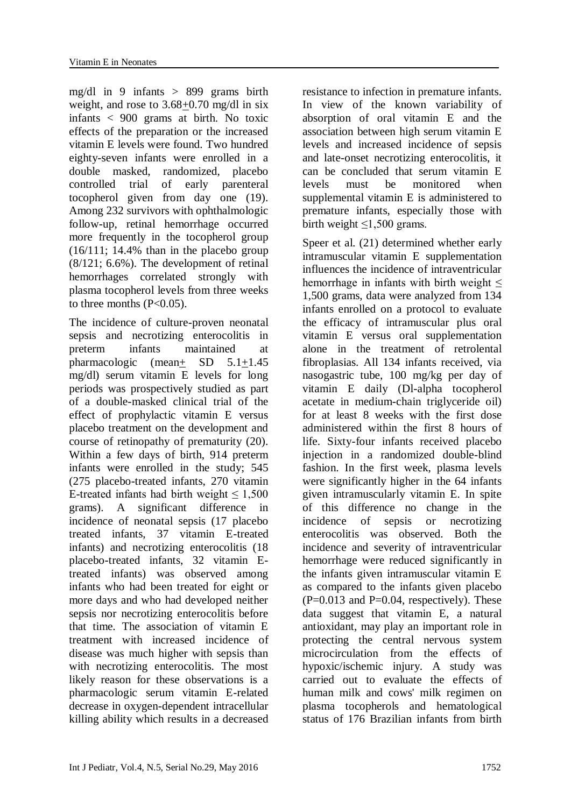mg/dl in 9 infants > 899 grams birth weight, and rose to 3.68+0.70 mg/dl in six infants < 900 grams at birth. No toxic effects of the preparation or the increased vitamin E levels were found. Two hundred eighty-seven infants were enrolled in a double masked, randomized, placebo controlled trial of early parenteral tocopherol given from day one (19). Among 232 survivors with ophthalmologic follow-up, retinal hemorrhage occurred more frequently in the tocopherol group (16/111; 14.4% than in the placebo group (8/121; 6.6%). The development of retinal hemorrhages correlated strongly with plasma tocopherol levels from three weeks to three months  $(P<0.05)$ .

The incidence of culture-proven neonatal sepsis and necrotizing enterocolitis in preterm infants maintained at pharmacologic (mean+ SD 5.1+1.45 mg/dl) serum vitamin E levels for long periods was prospectively studied as part of a double-masked clinical trial of the effect of prophylactic vitamin E versus placebo treatment on the development and course of retinopathy of prematurity (20). Within a few days of birth, 914 preterm infants were enrolled in the study; 545 (275 placebo-treated infants, 270 vitamin E-treated infants had birth weight  $\leq 1.500$ grams). A significant difference in incidence of neonatal sepsis (17 placebo treated infants, 37 vitamin E-treated infants) and necrotizing enterocolitis (18 placebo-treated infants, 32 vitamin Etreated infants) was observed among infants who had been treated for eight or more days and who had developed neither sepsis nor necrotizing enterocolitis before that time. The association of vitamin E treatment with increased incidence of disease was much higher with sepsis than with necrotizing enterocolitis. The most likely reason for these observations is a pharmacologic serum vitamin E-related decrease in oxygen-dependent intracellular killing ability which results in a decreased resistance to infection in premature infants. In view of the known variability of absorption of oral vitamin E and the association between high serum vitamin E levels and increased incidence of sepsis and late-onset necrotizing enterocolitis, it can be concluded that serum vitamin E levels must be monitored when supplemental vitamin E is administered to premature infants, especially those with birth weight  $\leq 1,500$  grams.

Speer et al. (21) determined whether early intramuscular vitamin E supplementation influences the incidence of intraventricular hemorrhage in infants with birth weight  $\leq$ 1,500 grams, data were analyzed from 134 infants enrolled on a protocol to evaluate the efficacy of intramuscular plus oral vitamin E versus oral supplementation alone in the treatment of retrolental fibroplasias. All 134 infants received, via nasogastric tube, 100 mg/kg per day of vitamin E daily (Dl-alpha tocopherol acetate in medium-chain triglyceride oil) for at least 8 weeks with the first dose administered within the first 8 hours of life. Sixty-four infants received placebo injection in a randomized double-blind fashion. In the first week, plasma levels were significantly higher in the 64 infants given intramuscularly vitamin E. In spite of this difference no change in the incidence of sepsis or necrotizing enterocolitis was observed. Both the incidence and severity of intraventricular hemorrhage were reduced significantly in the infants given intramuscular vitamin E as compared to the infants given placebo  $(P=0.013$  and  $P=0.04$ , respectively). These data suggest that vitamin E, a natural antioxidant, may play an important role in protecting the central nervous system microcirculation from the effects of hypoxic/ischemic injury. A study was carried out to evaluate the effects of human milk and cows' milk regimen on plasma tocopherols and hematological status of 176 Brazilian infants from birth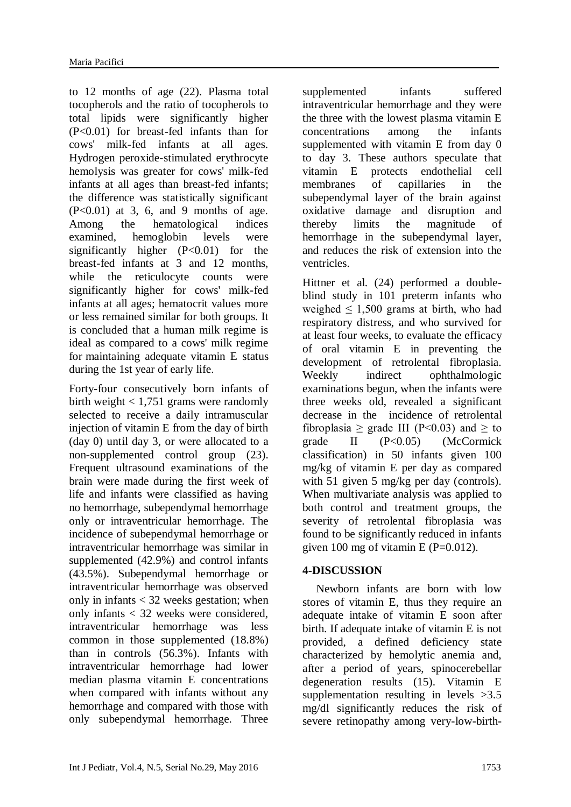to 12 months of age (22). Plasma total tocopherols and the ratio of tocopherols to total lipids were significantly higher (P<0.01) for breast-fed infants than for cows' milk-fed infants at all ages. Hydrogen peroxide-stimulated erythrocyte hemolysis was greater for cows' milk-fed infants at all ages than breast-fed infants; the difference was statistically significant  $(P<0.01)$  at 3, 6, and 9 months of age. Among the hematological indices<br>examined, hemoglobin levels were hemoglobin levels were significantly higher  $(P<0.01)$  for the breast-fed infants at 3 and 12 months, while the reticulocyte counts were significantly higher for cows' milk-fed infants at all ages; hematocrit values more or less remained similar for both groups. It is concluded that a human milk regime is ideal as compared to a cows' milk regime for maintaining adequate vitamin E status during the 1st year of early life.

Forty-four consecutively born infants of birth weight  $< 1,751$  grams were randomly selected to receive a daily intramuscular injection of vitamin E from the day of birth (day 0) until day 3, or were allocated to a non-supplemented control group (23). Frequent ultrasound examinations of the brain were made during the first week of life and infants were classified as having no hemorrhage, subependymal hemorrhage only or intraventricular hemorrhage. The incidence of subependymal hemorrhage or intraventricular hemorrhage was similar in supplemented (42.9%) and control infants (43.5%). Subependymal hemorrhage or intraventricular hemorrhage was observed only in infants < 32 weeks gestation; when only infants < 32 weeks were considered, intraventricular hemorrhage was less common in those supplemented (18.8%) than in controls (56.3%). Infants with intraventricular hemorrhage had lower median plasma vitamin E concentrations when compared with infants without any hemorrhage and compared with those with only subependymal hemorrhage. Three

supplemented infants suffered intraventricular hemorrhage and they were the three with the lowest plasma vitamin E concentrations among the infants supplemented with vitamin E from day 0 to day 3. These authors speculate that vitamin E protects endothelial cell membranes of capillaries in the subependymal layer of the brain against oxidative damage and disruption and thereby limits the magnitude of hemorrhage in the subependymal layer, and reduces the risk of extension into the ventricles.

Hittner et al. (24) performed a doubleblind study in 101 preterm infants who weighed  $\leq 1,500$  grams at birth, who had respiratory distress, and who survived for at least four weeks, to evaluate the efficacy of oral vitamin E in preventing the development of retrolental fibroplasia. Weekly indirect ophthalmologic examinations begun, when the infants were three weeks old, revealed a significant decrease in the incidence of retrolental fibroplasia > grade III ( $P \le 0.03$ ) and > to grade II (P<0.05) (McCormick classification) in 50 infants given 100 mg/kg of vitamin E per day as compared with 51 given 5 mg/kg per day (controls). When multivariate analysis was applied to both control and treatment groups, the severity of retrolental fibroplasia was found to be significantly reduced in infants given 100 mg of vitamin E ( $P=0.012$ ).

# **4-DISCUSSION**

Newborn infants are born with low stores of vitamin E, thus they require an adequate intake of vitamin E soon after birth. If adequate intake of vitamin E is not provided, a defined deficiency state characterized by hemolytic anemia and, after a period of years, spinocerebellar degeneration results (15). Vitamin E supplementation resulting in levels >3.5 mg/dl significantly reduces the risk of severe retinopathy among very-low-birth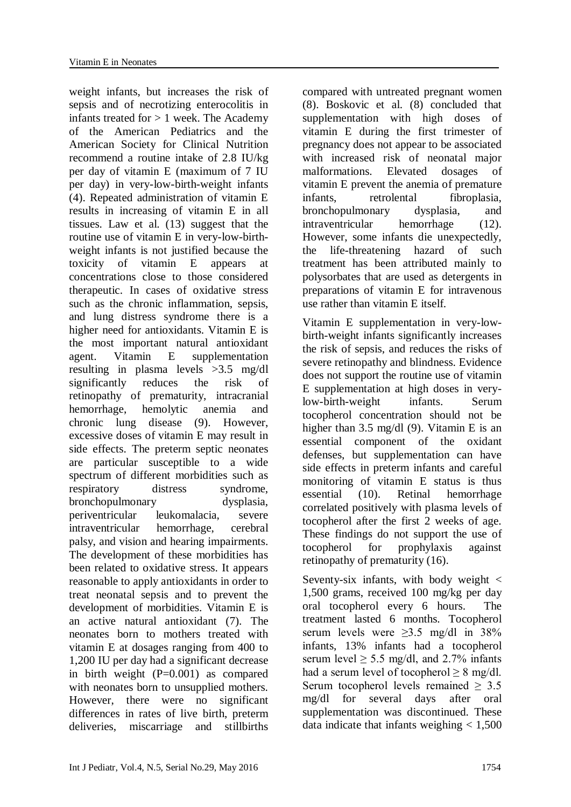weight infants, but increases the risk of sepsis and of necrotizing enterocolitis in infants treated for  $> 1$  week. The Academy of the American Pediatrics and the American Society for Clinical Nutrition recommend a routine intake of 2.8 IU/kg per day of vitamin E (maximum of 7 IU per day) in very-low-birth-weight infants (4). Repeated administration of vitamin E results in increasing of vitamin E in all tissues. Law et al. (13) suggest that the routine use of vitamin E in very-low-birthweight infants is not justified because the toxicity of vitamin E appears at concentrations close to those considered therapeutic. In cases of oxidative stress such as the chronic inflammation, sepsis, and lung distress syndrome there is a higher need for antioxidants. Vitamin E is the most important natural antioxidant agent. Vitamin E supplementation resulting in plasma levels >3.5 mg/dl significantly reduces the risk of retinopathy of prematurity, intracranial hemorrhage, hemolytic anemia and chronic lung disease (9). However, excessive doses of vitamin E may result in side effects. The preterm septic neonates are particular susceptible to a wide spectrum of different morbidities such as respiratory distress syndrome. bronchopulmonary dysplasia, periventricular leukomalacia, severe intraventricular hemorrhage, cerebral palsy, and vision and hearing impairments. The development of these morbidities has been related to oxidative stress. It appears reasonable to apply antioxidants in order to treat neonatal sepsis and to prevent the development of morbidities. Vitamin E is an active natural antioxidant (7). The neonates born to mothers treated with vitamin E at dosages ranging from 400 to 1,200 IU per day had a significant decrease in birth weight (P=0.001) as compared with neonates born to unsupplied mothers. However, there were no significant differences in rates of live birth, preterm deliveries, miscarriage and stillbirths compared with untreated pregnant women (8). Boskovic et al. (8) concluded that supplementation with high doses of vitamin E during the first trimester of pregnancy does not appear to be associated with increased risk of neonatal major malformations. Elevated dosages of vitamin E prevent the anemia of premature infants, retrolental fibroplasia, bronchopulmonary dysplasia, and intraventricular hemorrhage (12). However, some infants die unexpectedly, the life-threatening hazard of such treatment has been attributed mainly to polysorbates that are used as detergents in preparations of vitamin E for intravenous use rather than vitamin E itself.

Vitamin E supplementation in very-lowbirth-weight infants significantly increases the risk of sepsis, and reduces the risks of severe retinopathy and blindness. Evidence does not support the routine use of vitamin E supplementation at high doses in verylow-birth-weight infants. Serum tocopherol concentration should not be higher than 3.5 mg/dl (9). Vitamin E is an essential component of the oxidant defenses, but supplementation can have side effects in preterm infants and careful monitoring of vitamin E status is thus essential (10). Retinal hemorrhage correlated positively with plasma levels of tocopherol after the first 2 weeks of age. These findings do not support the use of tocopherol for prophylaxis against retinopathy of prematurity (16).

Seventy-six infants, with body weight < 1,500 grams, received 100 mg/kg per day oral tocopherol every 6 hours. The treatment lasted 6 months. Tocopherol serum levels were  $\geq 3.5$  mg/dl in 38% infants, 13% infants had a tocopherol serum level  $> 5.5$  mg/dl, and 2.7% infants had a serum level of tocopherol  $\geq 8$  mg/dl. Serum tocopherol levels remained > 3.5 mg/dl for several days after oral supplementation was discontinued. These data indicate that infants weighing  $< 1,500$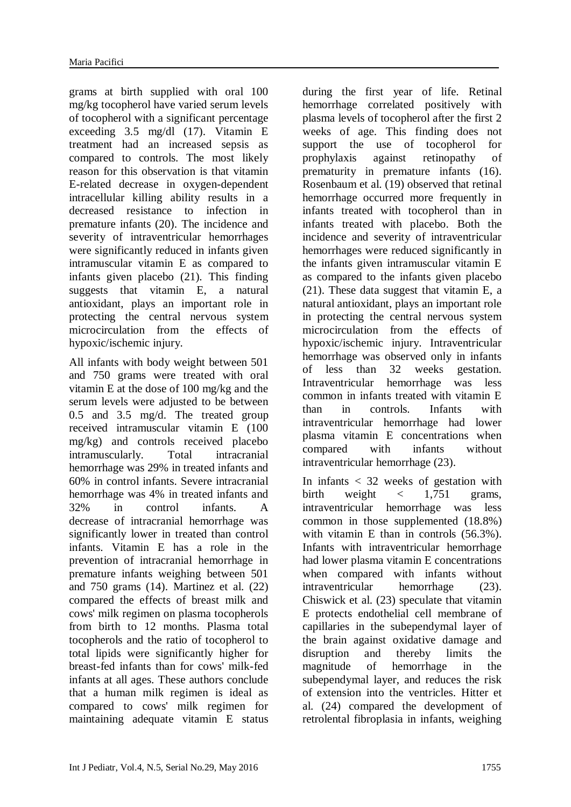grams at birth supplied with oral 100 mg/kg tocopherol have varied serum levels of tocopherol with a significant percentage exceeding 3.5 mg/dl (17). Vitamin E treatment had an increased sepsis as compared to controls. The most likely reason for this observation is that vitamin E-related decrease in oxygen-dependent intracellular killing ability results in a decreased resistance to infection in premature infants (20). The incidence and severity of intraventricular hemorrhages were significantly reduced in infants given intramuscular vitamin E as compared to infants given placebo (21). This finding suggests that vitamin E, a natural antioxidant, plays an important role in protecting the central nervous system microcirculation from the effects of hypoxic/ischemic injury.

All infants with body weight between 501 and 750 grams were treated with oral vitamin E at the dose of 100 mg/kg and the serum levels were adjusted to be between 0.5 and 3.5 mg/d. The treated group received intramuscular vitamin E (100 mg/kg) and controls received placebo intramuscularly. Total intracranial hemorrhage was 29% in treated infants and 60% in control infants. Severe intracranial hemorrhage was 4% in treated infants and 32% in control infants. A decrease of intracranial hemorrhage was significantly lower in treated than control infants. Vitamin E has a role in the prevention of intracranial hemorrhage in premature infants weighing between 501 and 750 grams (14). Martinez et al. (22) compared the effects of breast milk and cows' milk regimen on plasma tocopherols from birth to 12 months. Plasma total tocopherols and the ratio of tocopherol to total lipids were significantly higher for breast-fed infants than for cows' milk-fed infants at all ages. These authors conclude that a human milk regimen is ideal as compared to cows' milk regimen for maintaining adequate vitamin E status

during the first year of life. Retinal hemorrhage correlated positively with plasma levels of tocopherol after the first 2 weeks of age. This finding does not support the use of tocopherol for prophylaxis against retinopathy of prematurity in premature infants (16). Rosenbaum et al. (19) observed that retinal hemorrhage occurred more frequently in infants treated with tocopherol than in infants treated with placebo. Both the incidence and severity of intraventricular hemorrhages were reduced significantly in the infants given intramuscular vitamin E as compared to the infants given placebo (21). These data suggest that vitamin E, a natural antioxidant, plays an important role in protecting the central nervous system microcirculation from the effects of hypoxic/ischemic injury. Intraventricular hemorrhage was observed only in infants of less than 32 weeks gestation. Intraventricular hemorrhage was less common in infants treated with vitamin E than in controls. Infants with intraventricular hemorrhage had lower plasma vitamin E concentrations when compared with infants without intraventricular hemorrhage (23).

In infants < 32 weeks of gestation with birth weight  $\langle 1.751$  grams, intraventricular hemorrhage was less common in those supplemented (18.8%) with vitamin E than in controls (56.3%). Infants with intraventricular hemorrhage had lower plasma vitamin E concentrations when compared with infants without intraventricular hemorrhage (23). Chiswick et al. (23) speculate that vitamin E protects endothelial cell membrane of capillaries in the subependymal layer of the brain against oxidative damage and disruption and thereby limits the magnitude of hemorrhage in the subependymal layer, and reduces the risk of extension into the ventricles. Hitter et al. (24) compared the development of retrolental fibroplasia in infants, weighing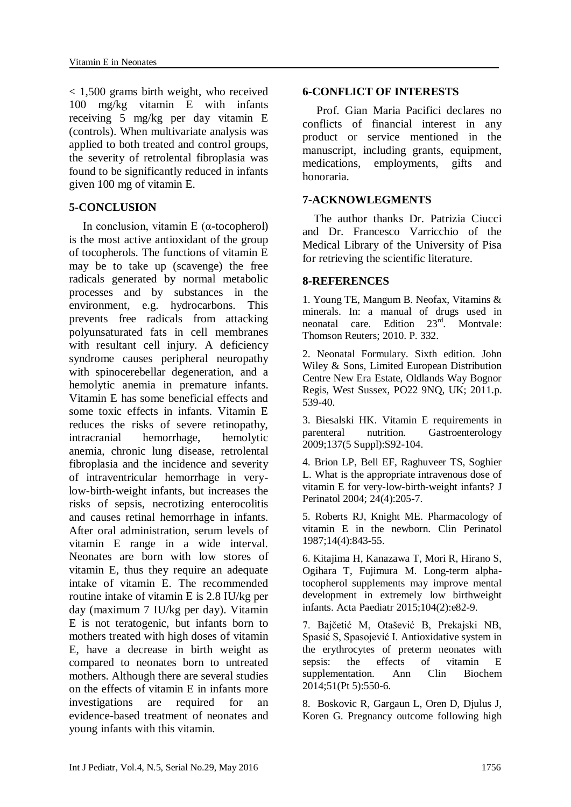< 1,500 grams birth weight, who received 100 mg/kg vitamin E with infants receiving 5 mg/kg per day vitamin E (controls). When multivariate analysis was applied to both treated and control groups, the severity of retrolental fibroplasia was found to be significantly reduced in infants given 100 mg of vitamin E.

#### **5-CONCLUSION**

In conclusion, vitamin E (α-tocopherol) is the most active antioxidant of the group of tocopherols. The functions of vitamin E may be to take up (scavenge) the free radicals generated by normal metabolic processes and by substances in the environment, e.g. hydrocarbons. This prevents free radicals from attacking polyunsaturated fats in cell membranes with resultant cell injury. A deficiency syndrome causes peripheral neuropathy with spinocerebellar degeneration, and a hemolytic anemia in premature infants. Vitamin E has some beneficial effects and some toxic effects in infants. Vitamin E reduces the risks of severe retinopathy, intracranial hemorrhage, hemolytic anemia, chronic lung disease, retrolental fibroplasia and the incidence and severity of intraventricular hemorrhage in verylow-birth-weight infants, but increases the risks of sepsis, necrotizing enterocolitis and causes retinal hemorrhage in infants. After oral administration, serum levels of vitamin E range in a wide interval. Neonates are born with low stores of vitamin E, thus they require an adequate intake of vitamin E. The recommended routine intake of vitamin E is 2.8 IU/kg per day (maximum 7 IU/kg per day). Vitamin E is not teratogenic, but infants born to mothers treated with high doses of vitamin E, have a decrease in birth weight as compared to neonates born to untreated mothers. Although there are several studies on the effects of vitamin E in infants more investigations are required for an evidence-based treatment of neonates and young infants with this vitamin.

#### **6-CONFLICT OF INTERESTS**

 Prof. Gian Maria Pacifici declares no conflicts of financial interest in any product or service mentioned in the manuscript, including grants, equipment, medications, employments, gifts and honoraria.

#### **7-ACKNOWLEGMENTS**

 The author thanks Dr. Patrizia Ciucci and Dr. Francesco Varricchio of the Medical Library of the University of Pisa for retrieving the scientific literature.

#### **8-REFERENCES**

1. Young TE, Mangum B. Neofax, Vitamins & minerals. In: a manual of drugs used in neonatal care. Edition 23<sup>rd</sup> Montvale: Thomson Reuters; 2010. P. 332.

2. Neonatal Formulary. Sixth edition. John Wiley & Sons, Limited European Distribution Centre New Era Estate, Oldlands Way Bognor Regis, West Sussex, PO22 9NQ, UK; 2011.p. 539-40.

3. Biesalski HK. [Vitamin E requirements in](http://www.ncbi.nlm.nih.gov/pubmed/19874955)  [parenteral nutrition.](http://www.ncbi.nlm.nih.gov/pubmed/19874955) Gastroenterology 2009;137(5 Suppl):S92-104.

4. Brion LP, Bell EF, Raghuveer TS, Soghier L. [What is the appropriate intravenous dose of](http://www.ncbi.nlm.nih.gov/pubmed/15067295)  [vitamin E for very-low-birth-weight infants?](http://www.ncbi.nlm.nih.gov/pubmed/15067295) J Perinatol 2004; 24(4):205-7.

5. Roberts RJ, Knight ME. [Pharmacology of](http://www.ncbi.nlm.nih.gov/pubmed/3322628)  [vitamin E in the newborn.](http://www.ncbi.nlm.nih.gov/pubmed/3322628) Clin Perinatol 1987;14(4):843-55.

6. Kitajima H, Kanazawa T, Mori R, Hirano S, Ogihara T, Fujimura M. [Long-term alpha](http://www.ncbi.nlm.nih.gov/pubmed/25382182)[tocopherol supplements may improve mental](http://www.ncbi.nlm.nih.gov/pubmed/25382182)  [development in extremely low birthweight](http://www.ncbi.nlm.nih.gov/pubmed/25382182)  [infants.](http://www.ncbi.nlm.nih.gov/pubmed/25382182) Acta Paediatr 2015;104(2):e82-9.

7. Bajčetić M, Otašević B, Prekajski NB, Spasić S, Spasojević I. [Antioxidative system in](http://www.ncbi.nlm.nih.gov/pubmed/24081186)  [the erythrocytes of preterm neonates with](http://www.ncbi.nlm.nih.gov/pubmed/24081186)  [sepsis: the effects of vitamin E](http://www.ncbi.nlm.nih.gov/pubmed/24081186)  [supplementation.](http://www.ncbi.nlm.nih.gov/pubmed/24081186) Ann Clin Biochem 2014;51(Pt 5):550-6.

8. Boskovic R, Gargaun L, Oren D, Djulus J, Koren G. [Pregnancy outcome following high](http://www.ncbi.nlm.nih.gov/pubmed/15808790)